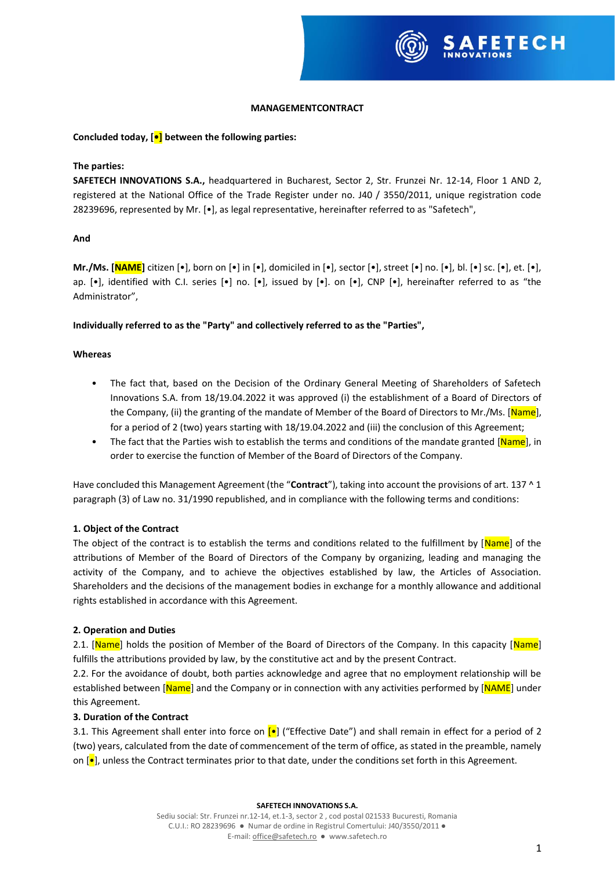

## **MANAGEMENTCONTRACT**

### **Concluded today, [•] between the following parties:**

### **The parties:**

**SAFETECH INNOVATIONS S.A.,** headquartered in Bucharest, Sector 2, Str. Frunzei Nr. 12-14, Floor 1 AND 2, registered at the National Office of the Trade Register under no. J40 / 3550/2011, unique registration code 28239696, represented by Mr. [•], as legal representative, hereinafter referred to as "Safetech",

### **And**

**Mr./Ms. [NAME]** citizen [•], born on [•] in [•], domiciled in [•], sector [•], street [•] no. [•], bl. [•] sc. [•], et. [•], ap. [•], identified with C.I. series [•] no. [•], issued by [•]. on [•], CNP [•], hereinafter referred to as "the Administrator",

### **Individually referred to as the "Party" and collectively referred to as the "Parties",**

### **Whereas**

- The fact that, based on the Decision of the Ordinary General Meeting of Shareholders of Safetech Innovations S.A. from 18/19.04.2022 it was approved (i) the establishment of a Board of Directors of the Company, (ii) the granting of the mandate of Member of the Board of Directors to Mr./Ms. [Name], for a period of 2 (two) years starting with 18/19.04.2022 and (iii) the conclusion of this Agreement;
- The fact that the Parties wish to establish the terms and conditions of the mandate granted [Name], in order to exercise the function of Member of the Board of Directors of the Company.

Have concluded this Management Agreement (the "**Contract**"), taking into account the provisions of art. 137 ^ 1 paragraph (3) of Law no. 31/1990 republished, and in compliance with the following terms and conditions:

#### **1. Object of the Contract**

The object of the contract is to establish the terms and conditions related to the fulfillment by [Name] of the attributions of Member of the Board of Directors of the Company by organizing, leading and managing the activity of the Company, and to achieve the objectives established by law, the Articles of Association. Shareholders and the decisions of the management bodies in exchange for a monthly allowance and additional rights established in accordance with this Agreement.

#### **2. Operation and Duties**

2.1. [Name] holds the position of Member of the Board of Directors of the Company. In this capacity [Name] fulfills the attributions provided by law, by the constitutive act and by the present Contract.

2.2. For the avoidance of doubt, both parties acknowledge and agree that no employment relationship will be established between [Name] and the Company or in connection with any activities performed by [NAME] under this Agreement.

#### **3. Duration of the Contract**

3.1. This Agreement shall enter into force on  $\left[\bullet\right]$  ("Effective Date") and shall remain in effect for a period of 2 (two) years, calculated from the date of commencement of the term of office, as stated in the preamble, namely on  $\left[\bullet\right]$ , unless the Contract terminates prior to that date, under the conditions set forth in this Agreement.

#### **SAFETECH INNOVATIONS S.A.**

Sediu social: Str. Frunzei nr.12-14, et.1-3, sector 2 , cod postal 021533 Bucuresti, Romania C.U.I.: RO 28239696 ● Numar de ordine in Registrul Comertului: J40/3550/2011 ● E-mail[: office@safetech.ro](mailto:office@safetech.ro) ● www.safetech.ro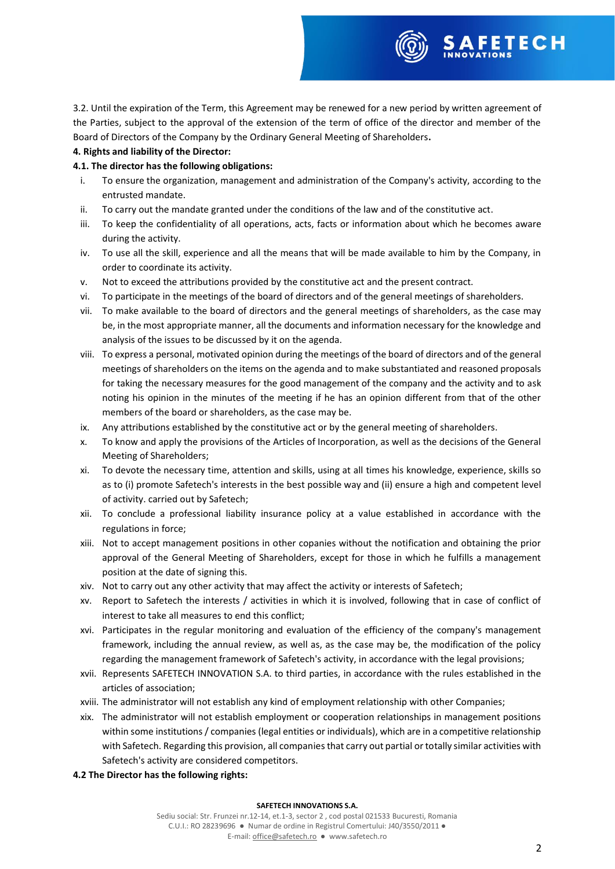

3.2. Until the expiration of the Term, this Agreement may be renewed for a new period by written agreement of the Parties, subject to the approval of the extension of the term of office of the director and member of the Board of Directors of the Company by the Ordinary General Meeting of Shareholders**.**

# **4. Rights and liability of the Director:**

# **4.1. The director has the following obligations:**

- i. To ensure the organization, management and administration of the Company's activity, according to the entrusted mandate.
- ii. To carry out the mandate granted under the conditions of the law and of the constitutive act.
- iii. To keep the confidentiality of all operations, acts, facts or information about which he becomes aware during the activity.
- iv. To use all the skill, experience and all the means that will be made available to him by the Company, in order to coordinate its activity.
- v. Not to exceed the attributions provided by the constitutive act and the present contract.
- vi. To participate in the meetings of the board of directors and of the general meetings of shareholders.
- vii. To make available to the board of directors and the general meetings of shareholders, as the case may be, in the most appropriate manner, all the documents and information necessary for the knowledge and analysis of the issues to be discussed by it on the agenda.
- viii. To express a personal, motivated opinion during the meetings of the board of directors and of the general meetings of shareholders on the items on the agenda and to make substantiated and reasoned proposals for taking the necessary measures for the good management of the company and the activity and to ask noting his opinion in the minutes of the meeting if he has an opinion different from that of the other members of the board or shareholders, as the case may be.
- ix. Any attributions established by the constitutive act or by the general meeting of shareholders.
- x. To know and apply the provisions of the Articles of Incorporation, as well as the decisions of the General Meeting of Shareholders;
- xi. To devote the necessary time, attention and skills, using at all times his knowledge, experience, skills so as to (i) promote Safetech's interests in the best possible way and (ii) ensure a high and competent level of activity. carried out by Safetech;
- xii. To conclude a professional liability insurance policy at a value established in accordance with the regulations in force;
- xiii. Not to accept management positions in other copanies without the notification and obtaining the prior approval of the General Meeting of Shareholders, except for those in which he fulfills a management position at the date of signing this.
- xiv. Not to carry out any other activity that may affect the activity or interests of Safetech;
- xv. Report to Safetech the interests / activities in which it is involved, following that in case of conflict of interest to take all measures to end this conflict;
- xvi. Participates in the regular monitoring and evaluation of the efficiency of the company's management framework, including the annual review, as well as, as the case may be, the modification of the policy regarding the management framework of Safetech's activity, in accordance with the legal provisions;
- xvii. Represents SAFETECH INNOVATION S.A. to third parties, in accordance with the rules established in the articles of association;
- xviii. The administrator will not establish any kind of employment relationship with other Companies;
- xix. The administrator will not establish employment or cooperation relationships in management positions within some institutions / companies (legal entities or individuals), which are in a competitive relationship with Safetech. Regarding this provision, all companies that carry out partial or totally similar activities with Safetech's activity are considered competitors.
- **4.2 The Director has the following rights:**

#### **SAFETECH INNOVATIONS S.A.**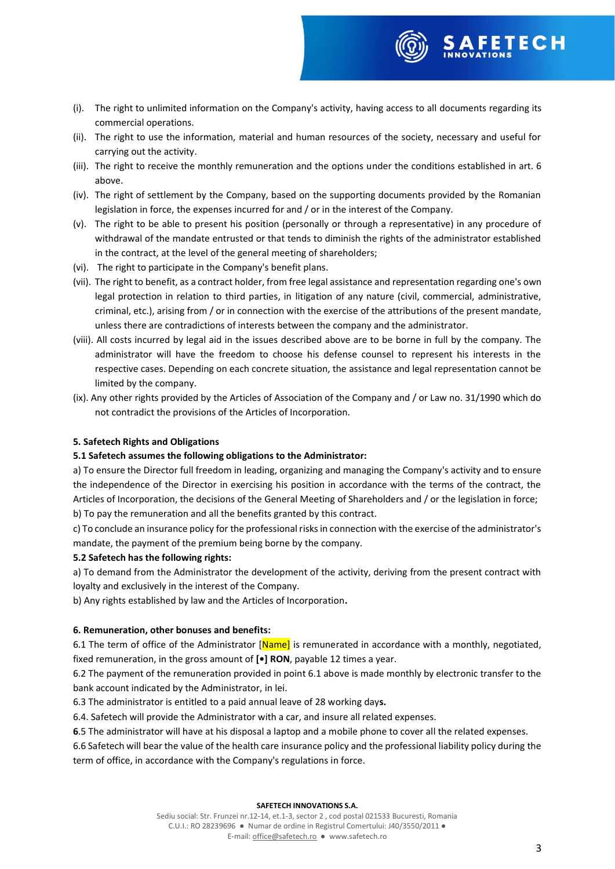

- (i). The right to unlimited information on the Company's activity, having access to all documents regarding its commercial operations.
- (ii). The right to use the information, material and human resources of the society, necessary and useful for carrying out the activity.
- (iii). The right to receive the monthly remuneration and the options under the conditions established in art. 6 above.
- (iv). The right of settlement by the Company, based on the supporting documents provided by the Romanian legislation in force, the expenses incurred for and / or in the interest of the Company.
- (v). The right to be able to present his position (personally or through a representative) in any procedure of withdrawal of the mandate entrusted or that tends to diminish the rights of the administrator established in the contract, at the level of the general meeting of shareholders;
- (vi). The right to participate in the Company's benefit plans.
- (vii). The right to benefit, as a contract holder, from free legal assistance and representation regarding one's own legal protection in relation to third parties, in litigation of any nature (civil, commercial, administrative, criminal, etc.), arising from / or in connection with the exercise of the attributions of the present mandate, unless there are contradictions of interests between the company and the administrator.
- (viii). All costs incurred by legal aid in the issues described above are to be borne in full by the company. The administrator will have the freedom to choose his defense counsel to represent his interests in the respective cases. Depending on each concrete situation, the assistance and legal representation cannot be limited by the company.
- (ix). Any other rights provided by the Articles of Association of the Company and / or Law no. 31/1990 which do not contradict the provisions of the Articles of Incorporation.

## **5. Safetech Rights and Obligations**

## **5.1 Safetech assumes the following obligations to the Administrator:**

a) To ensure the Director full freedom in leading, organizing and managing the Company's activity and to ensure the independence of the Director in exercising his position in accordance with the terms of the contract, the Articles of Incorporation, the decisions of the General Meeting of Shareholders and / or the legislation in force; b) To pay the remuneration and all the benefits granted by this contract.

c) To conclude an insurance policy for the professional risks in connection with the exercise of the administrator's mandate, the payment of the premium being borne by the company.

## **5.2 Safetech has the following rights:**

a) To demand from the Administrator the development of the activity, deriving from the present contract with loyalty and exclusively in the interest of the Company.

b) Any rights established by law and the Articles of Incorporation**.**

# **6. Remuneration, other bonuses and benefits:**

6.1 The term of office of the Administrator [Name] is remunerated in accordance with a monthly, negotiated, fixed remuneration, in the gross amount of **[•] RON**, payable 12 times a year.

6.2 The payment of the remuneration provided in point 6.1 above is made monthly by electronic transfer to the bank account indicated by the Administrator, in lei.

6.3 The administrator is entitled to a paid annual leave of 28 working day**s.**

6.4. Safetech will provide the Administrator with a car, and insure all related expenses.

**6**.5 The administrator will have at his disposal a laptop and a mobile phone to cover all the related expenses.

6.6 Safetech will bear the value of the health care insurance policy and the professional liability policy during the term of office, in accordance with the Company's regulations in force.

#### **SAFETECH INNOVATIONS S.A.**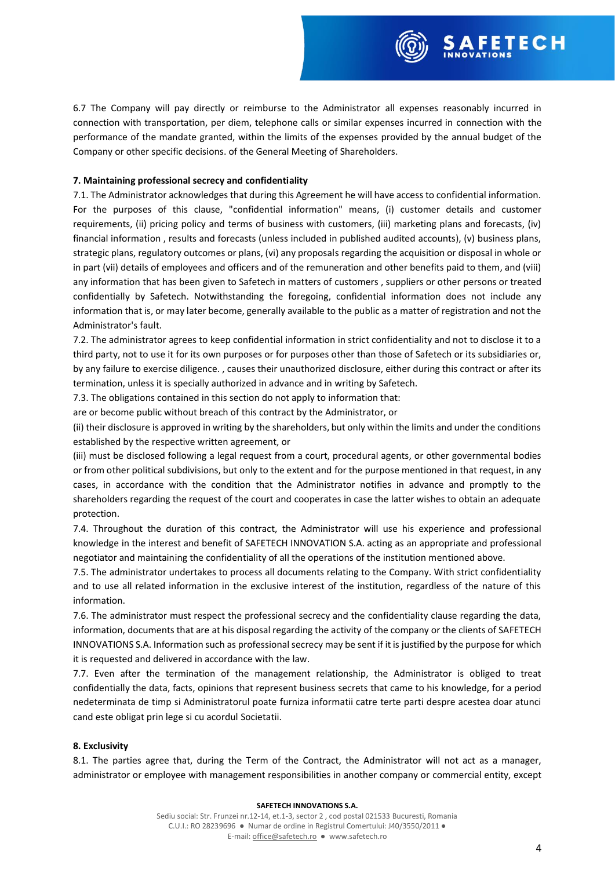

### **7. Maintaining professional secrecy and confidentiality**

7.1. The Administrator acknowledges that during this Agreement he will have access to confidential information. For the purposes of this clause, "confidential information" means, (i) customer details and customer requirements, (ii) pricing policy and terms of business with customers, (iii) marketing plans and forecasts, (iv) financial information , results and forecasts (unless included in published audited accounts), (v) business plans, strategic plans, regulatory outcomes or plans, (vi) any proposals regarding the acquisition or disposal in whole or in part (vii) details of employees and officers and of the remuneration and other benefits paid to them, and (viii) any information that has been given to Safetech in matters of customers , suppliers or other persons or treated confidentially by Safetech. Notwithstanding the foregoing, confidential information does not include any information that is, or may later become, generally available to the public as a matter of registration and not the Administrator's fault.

7.2. The administrator agrees to keep confidential information in strict confidentiality and not to disclose it to a third party, not to use it for its own purposes or for purposes other than those of Safetech or its subsidiaries or, by any failure to exercise diligence. , causes their unauthorized disclosure, either during this contract or after its termination, unless it is specially authorized in advance and in writing by Safetech.

7.3. The obligations contained in this section do not apply to information that:

are or become public without breach of this contract by the Administrator, or

(ii) their disclosure is approved in writing by the shareholders, but only within the limits and under the conditions established by the respective written agreement, or

(iii) must be disclosed following a legal request from a court, procedural agents, or other governmental bodies or from other political subdivisions, but only to the extent and for the purpose mentioned in that request, in any cases, in accordance with the condition that the Administrator notifies in advance and promptly to the shareholders regarding the request of the court and cooperates in case the latter wishes to obtain an adequate protection.

7.4. Throughout the duration of this contract, the Administrator will use his experience and professional knowledge in the interest and benefit of SAFETECH INNOVATION S.A. acting as an appropriate and professional negotiator and maintaining the confidentiality of all the operations of the institution mentioned above.

7.5. The administrator undertakes to process all documents relating to the Company. With strict confidentiality and to use all related information in the exclusive interest of the institution, regardless of the nature of this information.

7.6. The administrator must respect the professional secrecy and the confidentiality clause regarding the data, information, documents that are at his disposal regarding the activity of the company or the clients of SAFETECH INNOVATIONS S.A. Information such as professional secrecy may be sent if it is justified by the purpose for which it is requested and delivered in accordance with the law.

7.7. Even after the termination of the management relationship, the Administrator is obliged to treat confidentially the data, facts, opinions that represent business secrets that came to his knowledge, for a period nedeterminata de timp si Administratorul poate furniza informatii catre terte parti despre acestea doar atunci cand este obligat prin lege si cu acordul Societatii.

#### **8. Exclusivity**

8.1. The parties agree that, during the Term of the Contract, the Administrator will not act as a manager, administrator or employee with management responsibilities in another company or commercial entity, except

#### **SAFETECH INNOVATIONS S.A.**

**SAFETECH**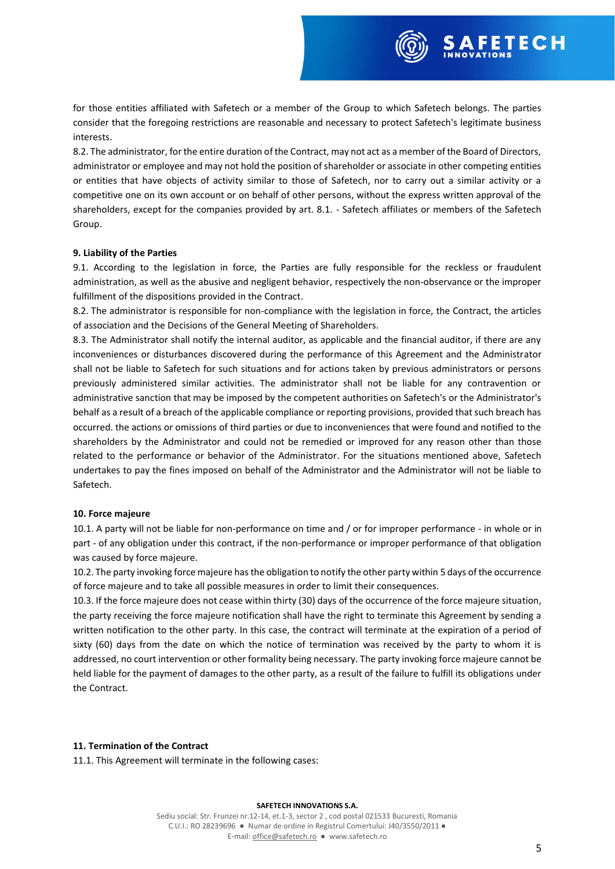

8.2. The administrator, for the entire duration of the Contract, may not act as a member of the Board of Directors, administrator or employee and may not hold the position of shareholder or associate in other competing entities or entities that have objects of activity similar to those of Safetech, nor to carry out a similar activity or a competitive one on its own account or on behalf of other persons, without the express written approval of the shareholders, except for the companies provided by art. 8.1. - Safetech affiliates or members of the Safetech Group.

### **9. Liability of the Parties**

9.1. According to the legislation in force, the Parties are fully responsible for the reckless or fraudulent administration, as well as the abusive and negligent behavior, respectively the non-observance or the improper fulfillment of the dispositions provided in the Contract.

8.2. The administrator is responsible for non-compliance with the legislation in force, the Contract, the articles of association and the Decisions of the General Meeting of Shareholders.

8.3. The Administrator shall notify the internal auditor, as applicable and the financial auditor, if there are any inconveniences or disturbances discovered during the performance of this Agreement and the Administrator shall not be liable to Safetech for such situations and for actions taken by previous administrators or persons previously administered similar activities. The administrator shall not be liable for any contravention or administrative sanction that may be imposed by the competent authorities on Safetech's or the Administrator's behalf as a result of a breach of the applicable compliance or reporting provisions, provided that such breach has occurred. the actions or omissions of third parties or due to inconveniences that were found and notified to the shareholders by the Administrator and could not be remedied or improved for any reason other than those related to the performance or behavior of the Administrator. For the situations mentioned above, Safetech undertakes to pay the fines imposed on behalf of the Administrator and the Administrator will not be liable to Safetech.

#### **10. Force majeure**

10.1. A party will not be liable for non-performance on time and / or for improper performance - in whole or in part - of any obligation under this contract, if the non-performance or improper performance of that obligation was caused by force majeure.

10.2. The party invoking force majeure has the obligation to notify the other party within 5 days of the occurrence of force majeure and to take all possible measures in order to limit their consequences.

10.3. If the force majeure does not cease within thirty (30) days of the occurrence of the force majeure situation, the party receiving the force majeure notification shall have the right to terminate this Agreement by sending a written notification to the other party. In this case, the contract will terminate at the expiration of a period of sixty (60) days from the date on which the notice of termination was received by the party to whom it is addressed, no court intervention or other formality being necessary. The party invoking force majeure cannot be held liable for the payment of damages to the other party, as a result of the failure to fulfill its obligations under the Contract.

#### **11. Termination of the Contract**

11.1. This Agreement will terminate in the following cases:

#### **SAFETECH INNOVATIONS S.A.**

Sediu social: Str. Frunzei nr.12-14, et.1-3, sector 2 , cod postal 021533 Bucuresti, Romania C.U.I.: RO 28239696 ● Numar de ordine in Registrul Comertului: J40/3550/2011 ● E-mail[: office@safetech.ro](mailto:office@safetech.ro) ● www.safetech.ro

**FETECH**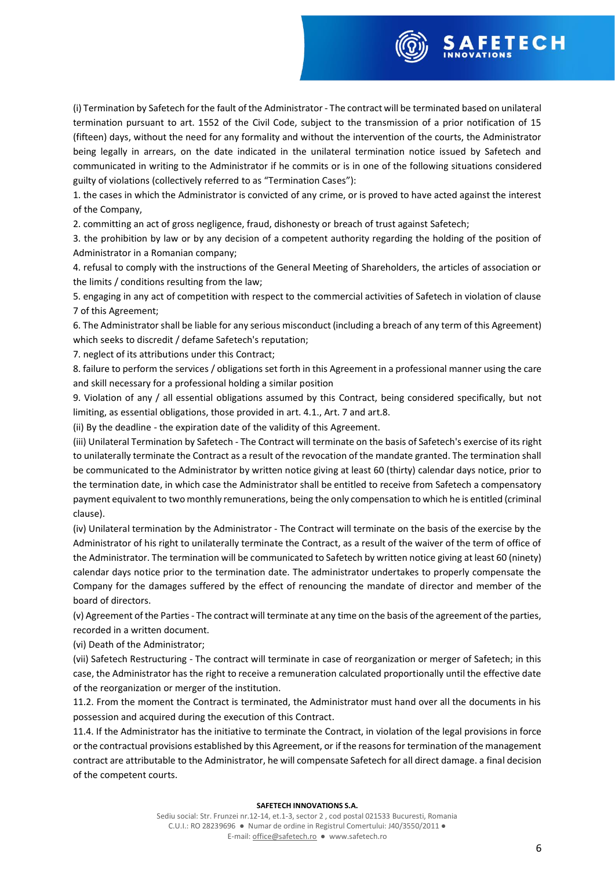

(i) Termination by Safetech for the fault of the Administrator - The contract will be terminated based on unilateral termination pursuant to art. 1552 of the Civil Code, subject to the transmission of a prior notification of 15 (fifteen) days, without the need for any formality and without the intervention of the courts, the Administrator being legally in arrears, on the date indicated in the unilateral termination notice issued by Safetech and communicated in writing to the Administrator if he commits or is in one of the following situations considered guilty of violations (collectively referred to as "Termination Cases"):

1. the cases in which the Administrator is convicted of any crime, or is proved to have acted against the interest of the Company,

2. committing an act of gross negligence, fraud, dishonesty or breach of trust against Safetech;

3. the prohibition by law or by any decision of a competent authority regarding the holding of the position of Administrator in a Romanian company;

4. refusal to comply with the instructions of the General Meeting of Shareholders, the articles of association or the limits / conditions resulting from the law;

5. engaging in any act of competition with respect to the commercial activities of Safetech in violation of clause 7 of this Agreement;

6. The Administrator shall be liable for any serious misconduct (including a breach of any term of this Agreement) which seeks to discredit / defame Safetech's reputation;

7. neglect of its attributions under this Contract;

8. failure to perform the services / obligations set forth in this Agreement in a professional manner using the care and skill necessary for a professional holding a similar position

9. Violation of any / all essential obligations assumed by this Contract, being considered specifically, but not limiting, as essential obligations, those provided in art. 4.1., Art. 7 and art.8.

(ii) By the deadline - the expiration date of the validity of this Agreement.

(iii) Unilateral Termination by Safetech - The Contract will terminate on the basis of Safetech's exercise of its right to unilaterally terminate the Contract as a result of the revocation of the mandate granted. The termination shall be communicated to the Administrator by written notice giving at least 60 (thirty) calendar days notice, prior to the termination date, in which case the Administrator shall be entitled to receive from Safetech a compensatory payment equivalent to two monthly remunerations, being the only compensation to which he is entitled (criminal clause).

(iv) Unilateral termination by the Administrator - The Contract will terminate on the basis of the exercise by the Administrator of his right to unilaterally terminate the Contract, as a result of the waiver of the term of office of the Administrator. The termination will be communicated to Safetech by written notice giving at least 60 (ninety) calendar days notice prior to the termination date. The administrator undertakes to properly compensate the Company for the damages suffered by the effect of renouncing the mandate of director and member of the board of directors.

(v) Agreement of the Parties - The contract will terminate at any time on the basis of the agreement of the parties, recorded in a written document.

(vi) Death of the Administrator;

(vii) Safetech Restructuring - The contract will terminate in case of reorganization or merger of Safetech; in this case, the Administrator has the right to receive a remuneration calculated proportionally until the effective date of the reorganization or merger of the institution.

11.2. From the moment the Contract is terminated, the Administrator must hand over all the documents in his possession and acquired during the execution of this Contract.

11.4. If the Administrator has the initiative to terminate the Contract, in violation of the legal provisions in force or the contractual provisions established by this Agreement, or if the reasons for termination of the management contract are attributable to the Administrator, he will compensate Safetech for all direct damage. a final decision of the competent courts.

#### **SAFETECH INNOVATIONS S.A.**